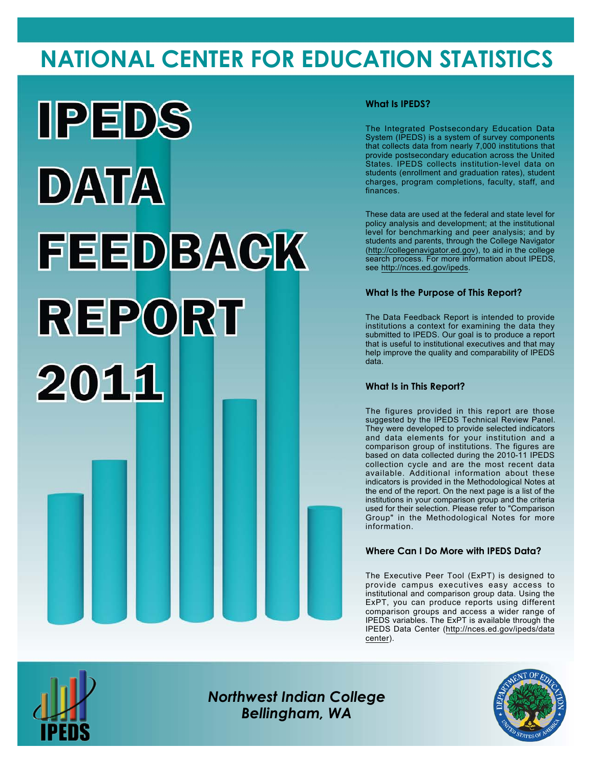# **NATIONAL CENTER FOR EDUCATION STATISTICS**



### **What Is IPEDS?**

The Integrated Postsecondary Education Data System (IPEDS) is a system of survey components that collects data from nearly 7,000 institutions that provide postsecondary education across the United States. IPEDS collects institution-level data on students (enrollment and graduation rates), student charges, program completions, faculty, staff, and finances.

These data are used at the federal and state level for policy analysis and development; at the institutional level for benchmarking and peer analysis; and by students and parents, through the College Navigator (<http://collegenavigator.ed.gov>), to aid in the college search process. For more information about IPEDS, see [http://nces.ed.gov/ipeds.](http://nces.ed.gov/ipeds)

### **What Is the Purpose of This Report?**

The Data Feedback Report is intended to provide institutions a context for examining the data they submitted to IPEDS. Our goal is to produce a report that is useful to institutional executives and that may help improve the quality and comparability of IPEDS data.

### **What Is in This Report?**

The figures provided in this report are those suggested by the IPEDS Technical Review Panel. They were developed to provide selected indicators and data elements for your institution and a comparison group of institutions. The figures are based on data collected during the 2010-11 IPEDS collection cycle and are the most recent data available. Additional information about these indicators is provided in the Methodological Notes at the end of the report. On the next page is a list of the institutions in your comparison group and the criteria used for their selection. Please refer to "Comparison Group" in the Methodological Notes for more information.

### **Where Can I Do More with IPEDS Data?**

The Executive Peer Tool (ExPT) is designed to provide campus executives easy access to institutional and comparison group data. Using the ExPT, you can produce reports using different comparison groups and access a wider range of IPEDS variables. The ExPT is available through the IPEDS Data Center ([http://nces.ed.gov/ipeds/data](http://nces.ed.gov/ipeds/datacenter) [center](http://nces.ed.gov/ipeds/datacenter)).



Image description. Cover Image End of image description.

*Northwest Indian College Bellingham, WA*

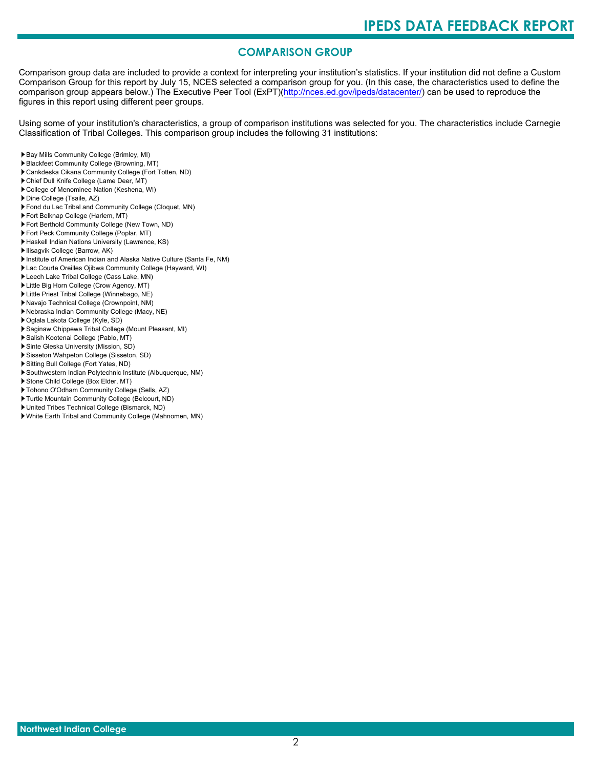# **COMPARISON GROUP**

Comparison group data are included to provide a context for interpreting your institution's statistics. If your institution did not define a Custom Comparison Group for this report by July 15, NCES selected a comparison group for you. (In this case, the characteristics used to define the comparison group appears below.) The Executive Peer Tool (ExPT)[\(http://nces.ed.gov/ipeds/datacenter/\)](http://nces.ed.gov/ipeds/datacenter/) can be used to reproduce the figures in this report using different peer groups.

Using some of your institution's characteristics, a group of comparison institutions was selected for you. The characteristics include Carnegie Classification of Tribal Colleges. This comparison group includes the following 31 institutions:

- Bay Mills Community College (Brimley, MI)
- Blackfeet Community College (Browning, MT)
- Cankdeska Cikana Community College (Fort Totten, ND)
- Chief Dull Knife College (Lame Deer, MT) College of Menominee Nation (Keshena, WI)
- 
- Dine College (Tsaile, AZ)
- Fond du Lac Tribal and Community College (Cloquet, MN)
- Fort Belknap College (Harlem, MT)
- Fort Berthold Community College (New Town, ND)
- Fort Peck Community College (Poplar, MT)
- Haskell Indian Nations University (Lawrence, KS)
- Ilisagvik College (Barrow, AK)
- Institute of American Indian and Alaska Native Culture (Santa Fe, NM)
- Lac Courte Oreilles Ojibwa Community College (Hayward, WI)
- Leech Lake Tribal College (Cass Lake, MN)
- Little Big Horn College (Crow Agency, MT)
- Little Priest Tribal College (Winnebago, NE)
- Navajo Technical College (Crownpoint, NM)
- Nebraska Indian Community College (Macy, NE)
- Oglala Lakota College (Kyle, SD)
- Saginaw Chippewa Tribal College (Mount Pleasant, MI)
- Salish Kootenai College (Pablo, MT)
- Sinte Gleska University (Mission, SD)
- Sisseton Wahpeton College (Sisseton, SD)
- Sitting Bull College (Fort Yates, ND)
- Southwestern Indian Polytechnic Institute (Albuquerque, NM)
- Stone Child College (Box Elder, MT)
- Tohono O'Odham Community College (Sells, AZ)
- Turtle Mountain Community College (Belcourt, ND)
- United Tribes Technical College (Bismarck, ND)
- White Earth Tribal and Community College (Mahnomen, MN)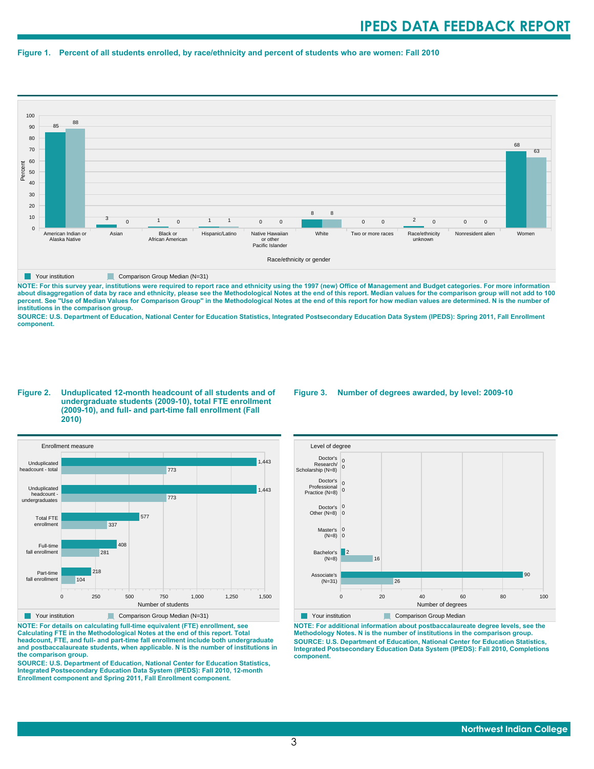#### **Figure 1. Percent of all students enrolled, by race/ethnicity and percent of students who are women: Fall 2010**



**NOTE: For this survey year, institutions were required to report race and ethnicity using the 1997 (new) Office of Management and Budget categories. For more information** about disaggregation of data by race and ethnicity, please see the Methodological Notes at the end of this report. Median values for the comparison group will not add to 100<br>percent. See "Use of Median Values for Compariso **institutions in the comparison group.**

**SOURCE: U.S. Department of Education, National Center for Education Statistics, Integrated Postsecondary Education Data System (IPEDS): Spring 2011, Fall Enrollment component.**

#### **Figure 2. Unduplicated 12-month headcount of all students and of undergraduate students (2009-10), total FTE enrollment (2009-10), and full- and part-time fall enrollment (Fall 2010)**



**NOTE: For details on calculating full-time equivalent (FTE) enrollment, see Calculating FTE in the Methodological Notes at the end of this report. Total headcount, FTE, and full- and part-time fall enrollment include both undergraduate and postbaccalaureate students, when applicable. N is the number of institutions in the comparison group.**

**SOURCE: U.S. Department of Education, National Center for Education Statistics, Integrated Postsecondary Education Data System (IPEDS): Fall 2010, 12-month Enrollment component and Spring 2011, Fall Enrollment component.**

#### **Figure 3. Number of degrees awarded, by level: 2009-10**



**Your institution Comparison Group Median** 

**NOTE: For additional information about postbaccalaureate degree levels, see the Methodology Notes. N is the number of institutions in the comparison group. SOURCE: U.S. Department of Education, National Center for Education Statistics, Integrated Postsecondary Education Data System (IPEDS): Fall 2010, Completions component.**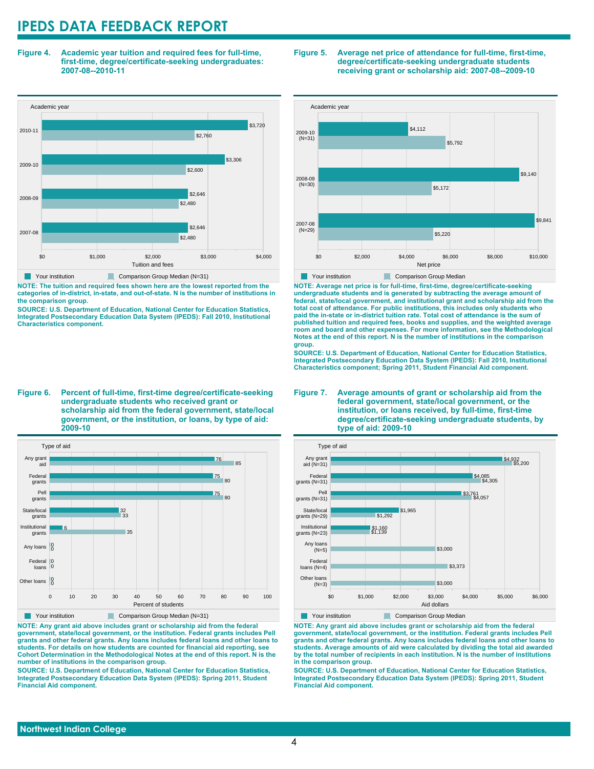**Figure 4. Academic year tuition and required fees for full-time, first-time, degree/certificate-seeking undergraduates: 2007-08--2010-11**



**NOTE: The tuition and required fees shown here are the lowest reported from the categories of in-district, in-state, and out-of-state. N is the number of institutions in the comparison group.**

**SOURCE: U.S. Department of Education, National Center for Education Statistics, Integrated Postsecondary Education Data System (IPEDS): Fall 2010, Institutional Characteristics component.**

**Figure 6. Percent of full-time, first-time degree/certificate-seeking undergraduate students who received grant or scholarship aid from the federal government, state/local government, or the institution, or loans, by type of aid: 2009-10**



**NOTE: Any grant aid above includes grant or scholarship aid from the federal government, state/local government, or the institution. Federal grants includes Pell grants and other federal grants. Any loans includes federal loans and other loans to students. For details on how students are counted for financial aid reporting, see Cohort Determination in the Methodological Notes at the end of this report. N is the number of institutions in the comparison group.**

**SOURCE: U.S. Department of Education, National Center for Education Statistics, Integrated Postsecondary Education Data System (IPEDS): Spring 2011, Student Financial Aid component.**





**NOTE: Average net price is for full-time, first-time, degree/certificate-seeking undergraduate students and is generated by subtracting the average amount of federal, state/local government, and institutional grant and scholarship aid from the total cost of attendance. For public institutions, this includes only students who paid the in-state or in-district tuition rate. Total cost of attendance is the sum of published tuition and required fees, books and supplies, and the weighted average room and board and other expenses. For more information, see the Methodological Notes at the end of this report. N is the number of institutions in the comparison group.**

**SOURCE: U.S. Department of Education, National Center for Education Statistics, Integrated Postsecondary Education Data System (IPEDS): Fall 2010, Institutional Characteristics component; Spring 2011, Student Financial Aid component.**

#### **Figure 7. Average amounts of grant or scholarship aid from the federal government, state/local government, or the institution, or loans received, by full-time, first-time degree/certificate-seeking undergraduate students, by type of aid: 2009-10**



**Your institution Comparison Group Median** 

**NOTE: Any grant aid above includes grant or scholarship aid from the federal government, state/local government, or the institution. Federal grants includes Pell grants and other federal grants. Any loans includes federal loans and other loans to students. Average amounts of aid were calculated by dividing the total aid awarded by the total number of recipients in each institution. N is the number of institutions in the comparison group.**

**SOURCE: U.S. Department of Education, National Center for Education Statistics, Integrated Postsecondary Education Data System (IPEDS): Spring 2011, Student Financial Aid component.**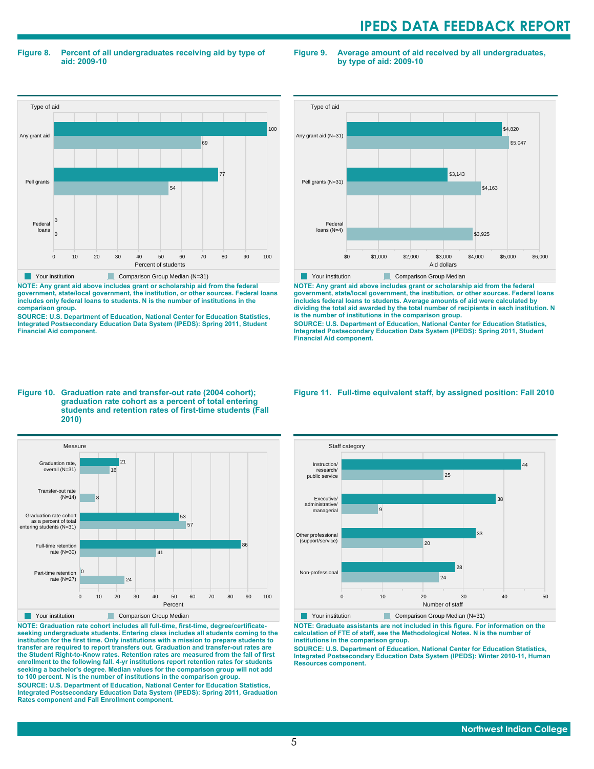**Figure 8. Percent of all undergraduates receiving aid by type of aid: 2009-10**

**Figure 9. Average amount of aid received by all undergraduates, by type of aid: 2009-10**



**NOTE: Any grant aid above includes grant or scholarship aid from the federal government, state/local government, the institution, or other sources. Federal loans includes only federal loans to students. N is the number of institutions in the comparison group.**

**SOURCE: U.S. Department of Education, National Center for Education Statistics, Integrated Postsecondary Education Data System (IPEDS): Spring 2011, Student Financial Aid component.**



**NOTE: Any grant aid above includes grant or scholarship aid from the federal government, state/local government, the institution, or other sources. Federal loans includes federal loans to students. Average amounts of aid were calculated by dividing the total aid awarded by the total number of recipients in each institution. N is the number of institutions in the comparison group.**

**SOURCE: U.S. Department of Education, National Center for Education Statistics, Integrated Postsecondary Education Data System (IPEDS): Spring 2011, Student Financial Aid component.**

#### **Figure 10. Graduation rate and transfer-out rate (2004 cohort); graduation rate cohort as a percent of total entering students and retention rates of first-time students (Fall 2010)**



**NOTE: Graduation rate cohort includes all full-time, first-time, degree/certificateseeking undergraduate students. Entering class includes all students coming to the institution for the first time. Only institutions with a mission to prepare students to transfer are required to report transfers out. Graduation and transfer-out rates are the Student Right-to-Know rates. Retention rates are measured from the fall of first enrollment to the following fall. 4-yr institutions report retention rates for students seeking a bachelor's degree. Median values for the comparison group will not add to 100 percent. N is the number of institutions in the comparison group.**

**SOURCE: U.S. Department of Education, National Center for Education Statistics, Integrated Postsecondary Education Data System (IPEDS): Spring 2011, Graduation Rates component and Fall Enrollment component.**

**Figure 11. Full-time equivalent staff, by assigned position: Fall 2010**



**NOTE: Graduate assistants are not included in this figure. For information on the calculation of FTE of staff, see the Methodological Notes. N is the number of institutions in the comparison group.**

**SOURCE: U.S. Department of Education, National Center for Education Statistics, Integrated Postsecondary Education Data System (IPEDS): Winter 2010-11, Human Resources component.**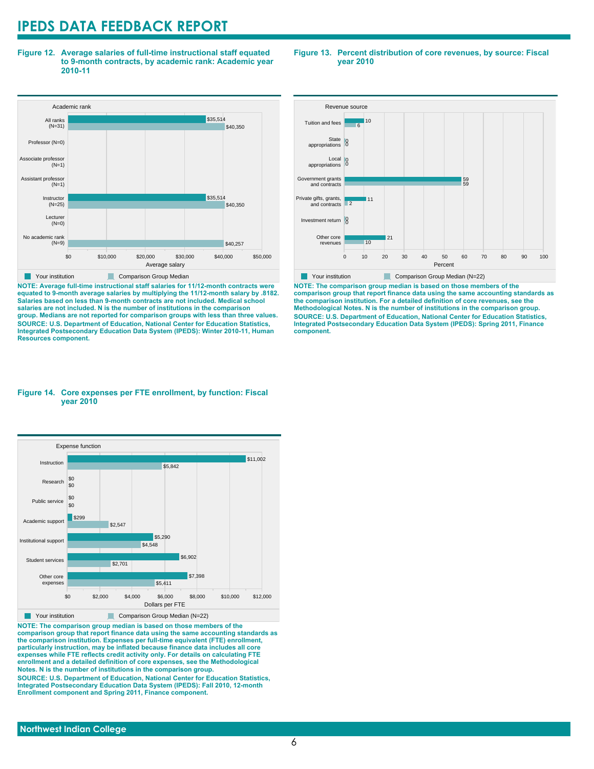**Figure 12. Average salaries of full-time instructional staff equated to 9-month contracts, by academic rank: Academic year 2010-11**



**NOTE: Average full-time instructional staff salaries for 11/12-month contracts were equated to 9-month average salaries by multiplying the 11/12-month salary by .8182. Salaries based on less than 9-month contracts are not included. Medical school salaries are not included. N is the number of institutions in the comparison group. Medians are not reported for comparison groups with less than three values. SOURCE: U.S. Department of Education, National Center for Education Statistics, Integrated Postsecondary Education Data System (IPEDS): Winter 2010-11, Human Resources component.**

#### **Figure 13. Percent distribution of core revenues, by source: Fiscal year 2010**



**NOTE: The comparison group median is based on those members of the comparison group that report finance data using the same accounting standards as the comparison institution. For a detailed definition of core revenues, see the Methodological Notes. N is the number of institutions in the comparison group. SOURCE: U.S. Department of Education, National Center for Education Statistics, Integrated Postsecondary Education Data System (IPEDS): Spring 2011, Finance component.**

#### **Figure 14. Core expenses per FTE enrollment, by function: Fiscal year 2010**



**NOTE: The comparison group median is based on those members of the comparison group that report finance data using the same accounting standards as the comparison institution. Expenses per full-time equivalent (FTE) enrollment, particularly instruction, may be inflated because finance data includes all core expenses while FTE reflects credit activity only. For details on calculating FTE enrollment and a detailed definition of core expenses, see the Methodological Notes. N is the number of institutions in the comparison group. SOURCE: U.S. Department of Education, National Center for Education Statistics, Integrated Postsecondary Education Data System (IPEDS): Fall 2010, 12-month**

**Enrollment component and Spring 2011, Finance component.**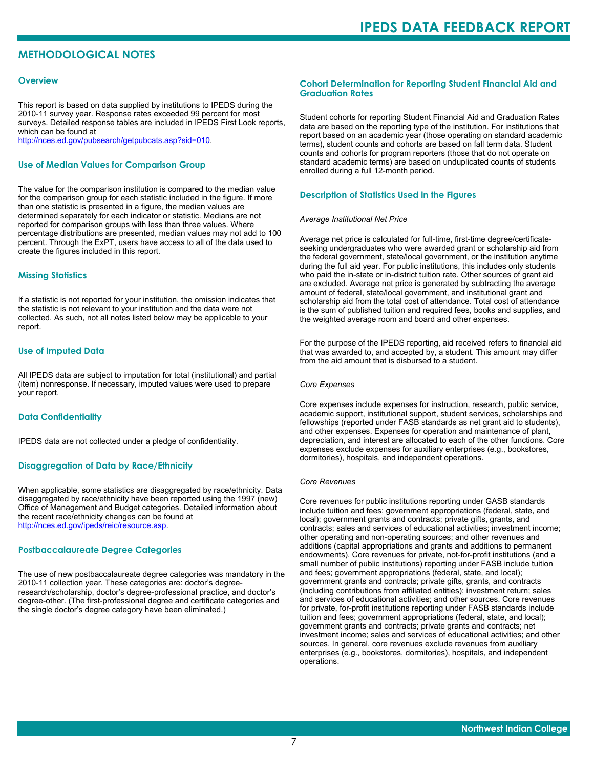## **METHODOLOGICAL NOTES**

#### **Overview**

This report is based on data supplied by institutions to IPEDS during the 2010-11 survey year. Response rates exceeded 99 percent for most surveys. Detailed response tables are included in IPEDS First Look reports, which can be found at [http://nces.ed.gov/pubsearch/getpubcats.asp?sid=010.](http://nces.ed.gov/pubsearch/getpubcats.asp?sid=010)

#### **Use of Median Values for Comparison Group**

The value for the comparison institution is compared to the median value for the comparison group for each statistic included in the figure. If more than one statistic is presented in a figure, the median values are determined separately for each indicator or statistic. Medians are not reported for comparison groups with less than three values. Where percentage distributions are presented, median values may not add to 100 percent. Through the ExPT, users have access to all of the data used to create the figures included in this report.

#### **Missing Statistics**

If a statistic is not reported for your institution, the omission indicates that the statistic is not relevant to your institution and the data were not collected. As such, not all notes listed below may be applicable to your report.

#### **Use of Imputed Data**

All IPEDS data are subject to imputation for total (institutional) and partial (item) nonresponse. If necessary, imputed values were used to prepare your report.

#### **Data Confidentiality**

IPEDS data are not collected under a pledge of confidentiality.

#### **Disaggregation of Data by Race/Ethnicity**

When applicable, some statistics are disaggregated by race/ethnicity. Data disaggregated by race/ethnicity have been reported using the 1997 (new) Office of Management and Budget categories. Detailed information about the recent race/ethnicity changes can be found at <http://nces.ed.gov/ipeds/reic/resource.asp>.

#### **Postbaccalaureate Degree Categories**

The use of new postbaccalaureate degree categories was mandatory in the 2010-11 collection year. These categories are: doctor's degreeresearch/scholarship, doctor's degree-professional practice, and doctor's degree-other. (The first-professional degree and certificate categories and the single doctor's degree category have been eliminated.)

#### **Cohort Determination for Reporting Student Financial Aid and Graduation Rates**

Student cohorts for reporting Student Financial Aid and Graduation Rates data are based on the reporting type of the institution. For institutions that report based on an academic year (those operating on standard academic terms), student counts and cohorts are based on fall term data. Student counts and cohorts for program reporters (those that do not operate on standard academic terms) are based on unduplicated counts of students enrolled during a full 12-month period.

#### **Description of Statistics Used in the Figures**

#### *Average Institutional Net Price*

Average net price is calculated for full-time, first-time degree/certificateseeking undergraduates who were awarded grant or scholarship aid from the federal government, state/local government, or the institution anytime during the full aid year. For public institutions, this includes only students who paid the in-state or in-district tuition rate. Other sources of grant aid are excluded. Average net price is generated by subtracting the average amount of federal, state/local government, and institutional grant and scholarship aid from the total cost of attendance. Total cost of attendance is the sum of published tuition and required fees, books and supplies, and the weighted average room and board and other expenses.

For the purpose of the IPEDS reporting, aid received refers to financial aid that was awarded to, and accepted by, a student. This amount may differ from the aid amount that is disbursed to a student.

#### *Core Expenses*

Core expenses include expenses for instruction, research, public service, academic support, institutional support, student services, scholarships and fellowships (reported under FASB standards as net grant aid to students), and other expenses. Expenses for operation and maintenance of plant, depreciation, and interest are allocated to each of the other functions. Core expenses exclude expenses for auxiliary enterprises (e.g., bookstores, dormitories), hospitals, and independent operations.

#### *Core Revenues*

Core revenues for public institutions reporting under GASB standards include tuition and fees; government appropriations (federal, state, and local); government grants and contracts; private gifts, grants, and contracts; sales and services of educational activities; investment income; other operating and non-operating sources; and other revenues and additions (capital appropriations and grants and additions to permanent endowments). Core revenues for private, not-for-profit institutions (and a small number of public institutions) reporting under FASB include tuition and fees; government appropriations (federal, state, and local); government grants and contracts; private gifts, grants, and contracts (including contributions from affiliated entities); investment return; sales and services of educational activities; and other sources. Core revenues for private, for-profit institutions reporting under FASB standards include tuition and fees; government appropriations (federal, state, and local); government grants and contracts; private grants and contracts; net investment income; sales and services of educational activities; and other sources. In general, core revenues exclude revenues from auxiliary enterprises (e.g., bookstores, dormitories), hospitals, and independent operations.